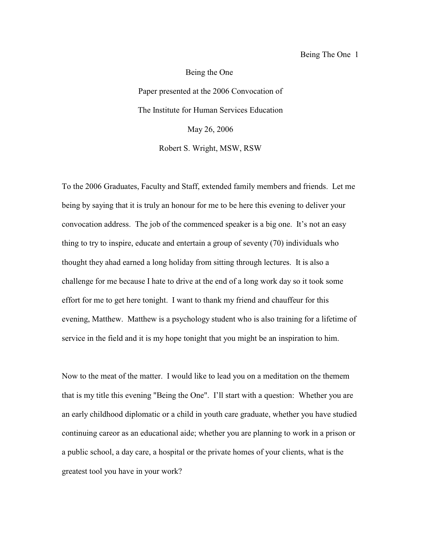## Being The One 1

Being the One Paper presented at the 2006 Convocation of The Institute for Human Services Education May 26, 2006

Robert S. Wright, MSW, RSW

To the 2006 Graduates, Faculty and Staff, extended family members and friends. Let me being by saying that it is truly an honour for me to be here this evening to deliver your convocation address. The job of the commenced speaker is a big one. It's not an easy thing to try to inspire, educate and entertain a group of seventy (70) individuals who thought they ahad earned a long holiday from sitting through lectures. It is also a challenge for me because I hate to drive at the end of a long work day so it took some effort for me to get here tonight. I want to thank my friend and chauffeur for this evening, Matthew. Matthew is a psychology student who is also training for a lifetime of service in the field and it is my hope tonight that you might be an inspiration to him.

Now to the meat of the matter. I would like to lead you on a meditation on the themem that is my title this evening "Being the One". I'll start with a question: Whether you are an early childhood diplomatic or a child in youth care graduate, whether you have studied continuing careor as an educational aide; whether you are planning to work in a prison or a public school, a day care, a hospital or the private homes of your clients, what is the greatest tool you have in your work?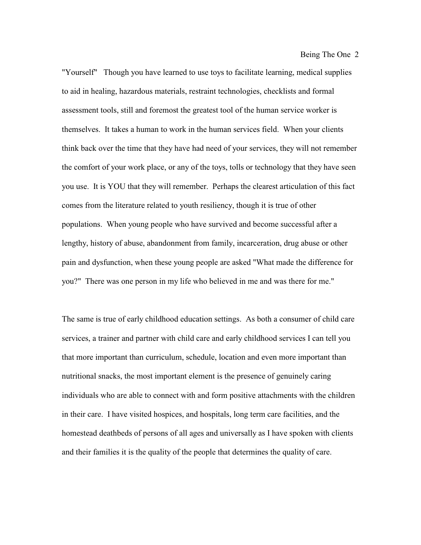"Yourself" Though you have learned to use toys to facilitate learning, medical supplies to aid in healing, hazardous materials, restraint technologies, checklists and formal assessment tools, still and foremost the greatest tool of the human service worker is themselves. It takes a human to work in the human services field. When your clients think back over the time that they have had need of your services, they will not remember the comfort of your work place, or any of the toys, tolls or technology that they have seen you use. It is YOU that they will remember. Perhaps the clearest articulation of this fact comes from the literature related to youth resiliency, though it is true of other populations. When young people who have survived and become successful after a lengthy, history of abuse, abandonment from family, incarceration, drug abuse or other pain and dysfunction, when these young people are asked "What made the difference for you?" There was one person in my life who believed in me and was there for me."

The same is true of early childhood education settings. As both a consumer of child care services, a trainer and partner with child care and early childhood services I can tell you that more important than curriculum, schedule, location and even more important than nutritional snacks, the most important element is the presence of genuinely caring individuals who are able to connect with and form positive attachments with the children in their care. I have visited hospices, and hospitals, long term care facilities, and the homestead deathbeds of persons of all ages and universally as I have spoken with clients and their families it is the quality of the people that determines the quality of care.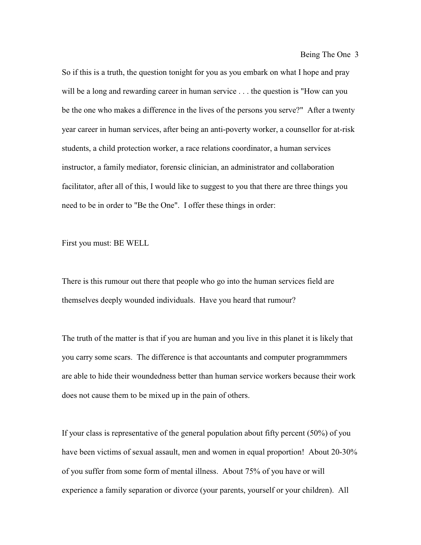Being The One 3

So if this is a truth, the question tonight for you as you embark on what I hope and pray will be a long and rewarding career in human service . . . the question is "How can you be the one who makes a difference in the lives of the persons you serve?" After a twenty year career in human services, after being an anti-poverty worker, a counsellor for at-risk students, a child protection worker, a race relations coordinator, a human services instructor, a family mediator, forensic clinician, an administrator and collaboration facilitator, after all of this, I would like to suggest to you that there are three things you need to be in order to "Be the One". I offer these things in order:

First you must: BE WELL

There is this rumour out there that people who go into the human services field are themselves deeply wounded individuals. Have you heard that rumour?

The truth of the matter is that if you are human and you live in this planet it is likely that you carry some scars. The difference is that accountants and computer programmmers are able to hide their woundedness better than human service workers because their work does not cause them to be mixed up in the pain of others.

If your class is representative of the general population about fifty percent (50%) of you have been victims of sexual assault, men and women in equal proportion! About 20-30% of you suffer from some form of mental illness. About 75% of you have or will experience a family separation or divorce (your parents, yourself or your children). All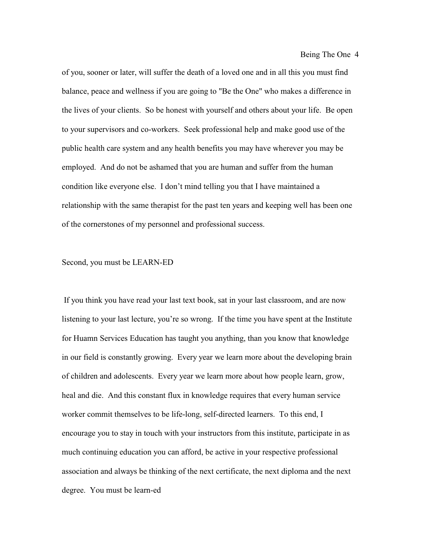Being The One 4

of you, sooner or later, will suffer the death of a loved one and in all this you must find balance, peace and wellness if you are going to "Be the One" who makes a difference in the lives of your clients. So be honest with yourself and others about your life. Be open to your supervisors and co-workers. Seek professional help and make good use of the public health care system and any health benefits you may have wherever you may be employed. And do not be ashamed that you are human and suffer from the human condition like everyone else. I don't mind telling you that I have maintained a relationship with the same therapist for the past ten years and keeping well has been one of the cornerstones of my personnel and professional success.

## Second, you must be LEARN-ED

 If you think you have read your last text book, sat in your last classroom, and are now listening to your last lecture, you're so wrong. If the time you have spent at the Institute for Huamn Services Education has taught you anything, than you know that knowledge in our field is constantly growing. Every year we learn more about the developing brain of children and adolescents. Every year we learn more about how people learn, grow, heal and die. And this constant flux in knowledge requires that every human service worker commit themselves to be life-long, self-directed learners. To this end, I encourage you to stay in touch with your instructors from this institute, participate in as much continuing education you can afford, be active in your respective professional association and always be thinking of the next certificate, the next diploma and the next degree. You must be learn-ed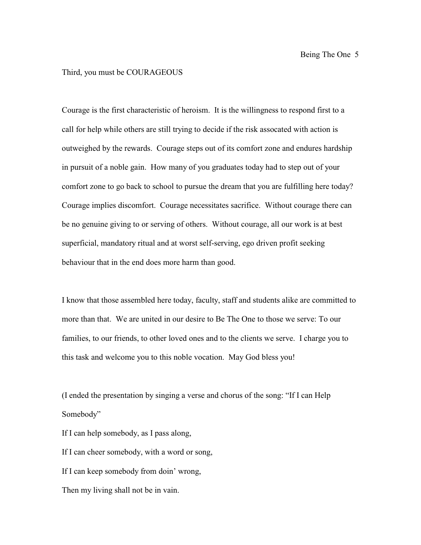## Third, you must be COURAGEOUS

Courage is the first characteristic of heroism. It is the willingness to respond first to a call for help while others are still trying to decide if the risk assocated with action is outweighed by the rewards. Courage steps out of its comfort zone and endures hardship in pursuit of a noble gain. How many of you graduates today had to step out of your comfort zone to go back to school to pursue the dream that you are fulfilling here today? Courage implies discomfort. Courage necessitates sacrifice. Without courage there can be no genuine giving to or serving of others. Without courage, all our work is at best superficial, mandatory ritual and at worst self-serving, ego driven profit seeking behaviour that in the end does more harm than good.

I know that those assembled here today, faculty, staff and students alike are committed to more than that. We are united in our desire to Be The One to those we serve: To our families, to our friends, to other loved ones and to the clients we serve. I charge you to this task and welcome you to this noble vocation. May God bless you!

(I ended the presentation by singing a verse and chorus of the song: "If I can Help Somebody"

If I can help somebody, as I pass along,

If I can cheer somebody, with a word or song,

If I can keep somebody from doin' wrong,

Then my living shall not be in vain.